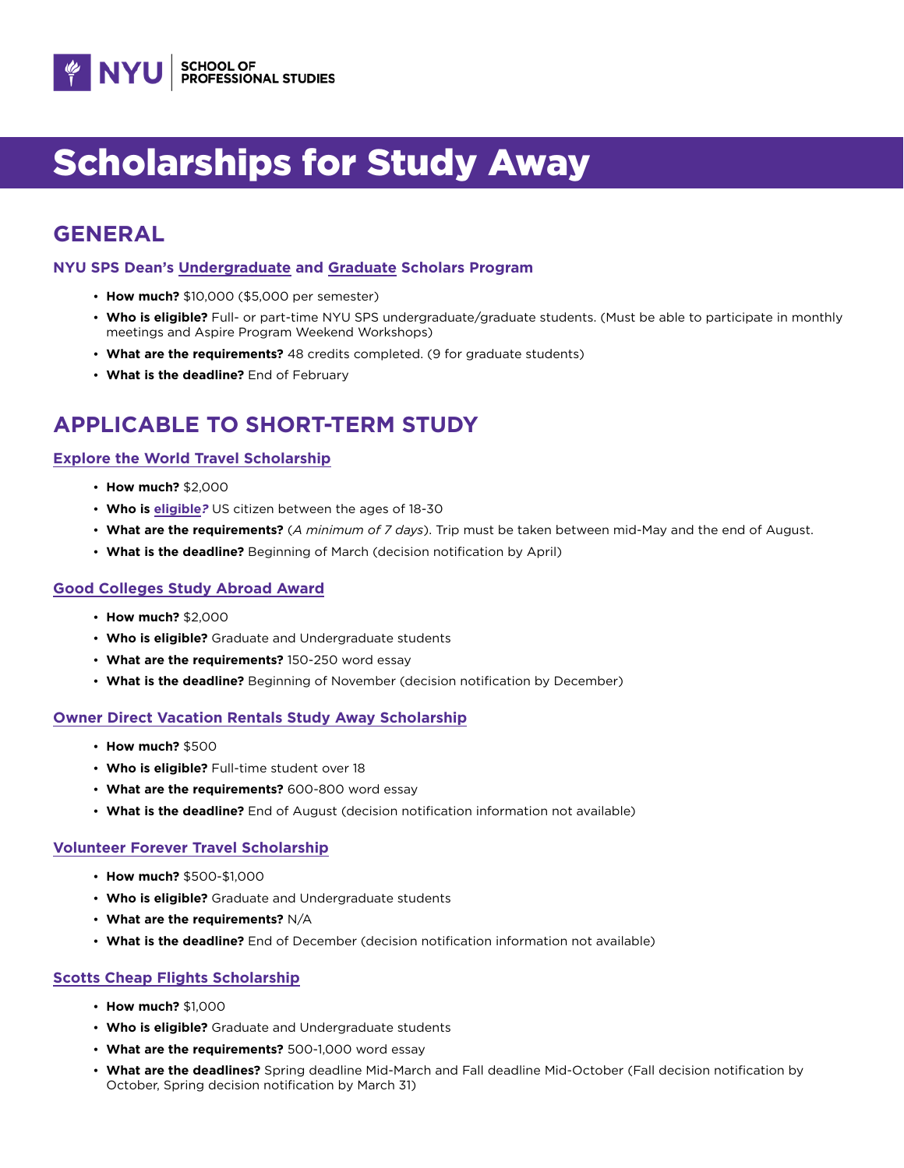

# Scholarships for Study Away

# **GENERAL**

### **NYU SPS Dean's [Undergraduate](https://www.sps.nyu.edu/homepage/admissions/undergraduate-financial-aid/deans-undergraduate-scholars-program.html) and [Graduate](https://www.sps.nyu.edu/homepage/admissions/graduate-financial-aid/scholarships/deans-graduate-scholars-program.html) Scholars Program**

- **How much?** \$10,000 (\$5,000 per semester)
- **Who is eligible?** Full- or part-time NYU SPS undergraduate/graduate students. (Must be able to participate in monthly meetings and Aspire Program Weekend Workshops)
- **What are the requirements?** 48 credits completed. (9 for graduate students)
- **What is the deadline?** End of February

# **APPLICABLE TO SHORT-TERM STUDY**

# **[Explore the World Travel Scholarship](https://www.hiusa.org/travel-scholarships/explore-the-world-scholarship)**

- **How much?** \$2,000
- **Who is [eligible](https://www.hiusa.org/travel-scholarships/explore-the-world-scholarship#6)***?* US citizen between the ages of 18-30
- **What are the requirements?** (*A minimum of 7 days*). Trip must be taken between mid-May and the end of August.
- **What is the deadline?** Beginning of March (decision notification by April)

## **[Good Colleges Study Abroad Award](https://lerna.courses/study-abroad-award/)**

- **How much?** \$2,000
- **Who is eligible?** Graduate and Undergraduate students
- **What are the requirements?** 150-250 word essay
- **What is the deadline?** Beginning of November (decision notification by December)

### **[Owner Direct Vacation Rentals Study Away Scholarship](https://www.ownerdirect.com/scholarship)**

- **How much?** \$500
- **Who is eligible?** Full-time student over 18
- **What are the requirements?** 600-800 word essay
- **What is the deadline?** End of August (decision notification information not available)

### **[Volunteer Forever Travel Scholarship](https://www.volunteerforever.com/scholarships/)**

- **How much?** \$500-\$1,000
- **Who is eligible?** Graduate and Undergraduate students
- **What are the requirements?** N/A
- **What is the deadline?** End of December (decision notification information not available)

# **[Scotts Cheap Flights Scholarship](https://scottscheapflights.com/scholarship)**

- **How much?** \$1,000
- **Who is eligible?** Graduate and Undergraduate students
- **What are the requirements?** 500-1,000 word essay
- **What are the deadlines?** Spring deadline Mid-March and Fall deadline Mid-October (Fall decision notification by October, Spring decision notification by March 31)